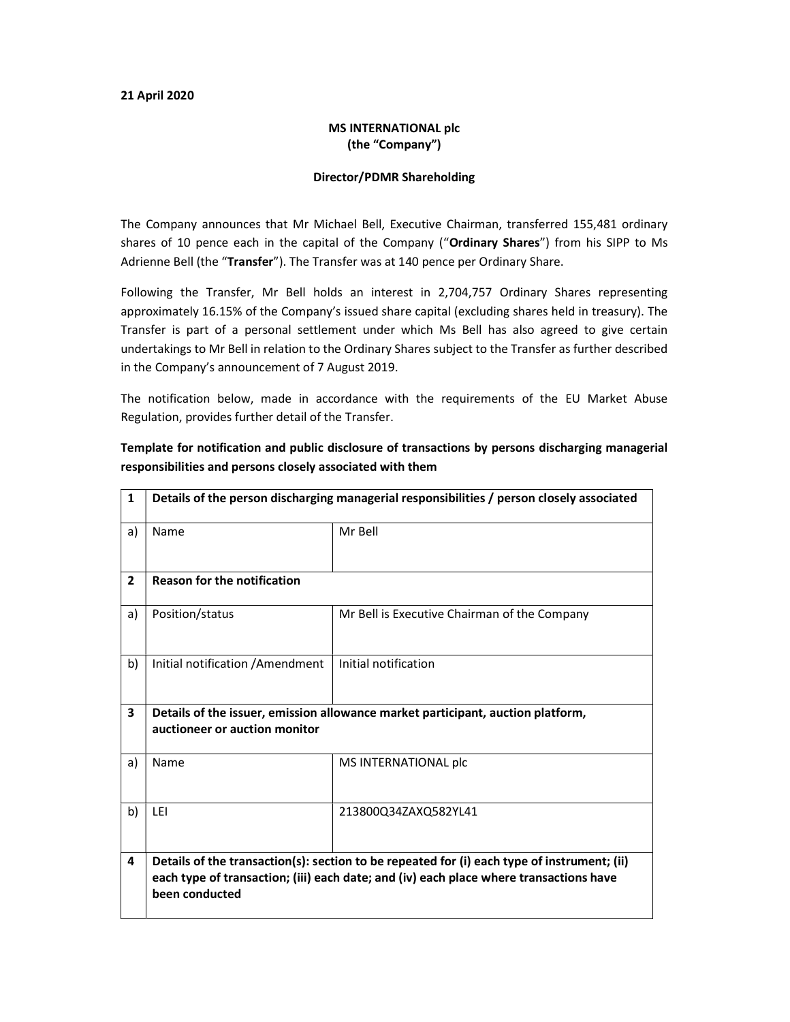## 21 April 2020

## MS INTERNATIONAL plc (the "Company")

## Director/PDMR Shareholding

The Company announces that Mr Michael Bell, Executive Chairman, transferred 155,481 ordinary shares of 10 pence each in the capital of the Company ("Ordinary Shares") from his SIPP to Ms Adrienne Bell (the "Transfer"). The Transfer was at 140 pence per Ordinary Share.

Following the Transfer, Mr Bell holds an interest in 2,704,757 Ordinary Shares representing approximately 16.15% of the Company's issued share capital (excluding shares held in treasury). The Transfer is part of a personal settlement under which Ms Bell has also agreed to give certain undertakings to Mr Bell in relation to the Ordinary Shares subject to the Transfer as further described in the Company's announcement of 7 August 2019.

The notification below, made in accordance with the requirements of the EU Market Abuse Regulation, provides further detail of the Transfer.

Template for notification and public disclosure of transactions by persons discharging managerial responsibilities and persons closely associated with them

| 1              | Details of the person discharging managerial responsibilities / person closely associated                        |                                                                                                                                                                                       |  |  |
|----------------|------------------------------------------------------------------------------------------------------------------|---------------------------------------------------------------------------------------------------------------------------------------------------------------------------------------|--|--|
| a)             | Name                                                                                                             | Mr Bell                                                                                                                                                                               |  |  |
| $\overline{2}$ | <b>Reason for the notification</b>                                                                               |                                                                                                                                                                                       |  |  |
| a)             | Position/status                                                                                                  | Mr Bell is Executive Chairman of the Company                                                                                                                                          |  |  |
| b)             | Initial notification / Amendment                                                                                 | Initial notification                                                                                                                                                                  |  |  |
| 3              | Details of the issuer, emission allowance market participant, auction platform,<br>auctioneer or auction monitor |                                                                                                                                                                                       |  |  |
| a)             | Name                                                                                                             | MS INTERNATIONAL plc                                                                                                                                                                  |  |  |
| b)             | LEI                                                                                                              | 213800Q34ZAXQ582YL41                                                                                                                                                                  |  |  |
| 4              | been conducted                                                                                                   | Details of the transaction(s): section to be repeated for (i) each type of instrument; (ii)<br>each type of transaction; (iii) each date; and (iv) each place where transactions have |  |  |